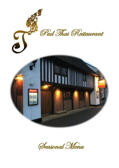

Seasonal Menu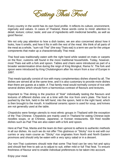Eating Thai Food

Every country in the world has its own food profile. It reflects its culture, environment, ingenuity and values. In cases of Thailand, these words come to mind: attention to detail, texture; colour; taste; and use of ingredients with medicinal benefits, as well as good flavour.

We not only pay attention to how a dish tastes; we are also concerned about how it looks, how it smells, and how it fits in with the rest of the meal. We think of all parts of the meal as a whole, "sum rub Thai" (the way Thais eat) is a term we use for the unique components that make up a characteristically Thai meal.

Thai food was traditionally eaten with the right hand while seated on mats or carpets on the floor, customs still found in the more traditional households. Today, however, most Thais eat with a fork and spoon. Tables and chairs were introduced as part of a broader westernisation drive during the reign of King Mongkut, Rama IV. The fork and spoon were introduced by King Chulalongkorn after his return from a tour of Europe in 1897.

Thai meals typically consist of rice with many complementary dishes shared by all. The dishes are served all at the same time, and it is also customary to provide more dishes than there are guests at a table. A Thai family meal would normally consist of rice with several dishes which should form a harmonious contrast of flavours and textures.

Important to Thai dining is the practice of "kluk" individually tasting the flavours and textures of different dishes one at a time with the rice from one's plate. The food is pushed by the fork, held in the left hand, into the spoon, held in the right hand, which is then brought to the mouth. A traditional ceramic spoon is used for soup, and knives are not generally used at the table.

Chopsticks were foreign utensils to most ethnic groups in Thailand with the exception of the Thai Chinese. Chopsticks are mainly used in Thailand for eating Chinese-style noodles soups, or at Chinese, Japanese, or Korean restaurants. Stir fried noodle dishes such as Pad Thai are also eaten with a fork and spoon.

Here at Pad Thai, Manta and the team do their upmost to adhere to authentic methods in all our dishes. As such we do not offer This glutinous or "Sticky" rice to eat with our curries or any main course as "Sticky" rice originates from North and North Eastern provinces and should only be eaten with a very spicy salad or in a dessert.

Our non-Thai customers should note that some Thai food can be very hot and spicy and should feel free to ask us to adjust to suit, either mild or full Thai heat. To ensure freshness of flavour and to enable individual preferences to be taken into account.

Enjoy your meal.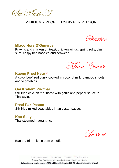Set Meal A

# MINIMUM 2 PEOPLE £24.95 PER PERSON

Starter

#### **Mixed Hors D'Oeuvres**

Prawns and chicken on toast, chicken wings, spring rolls, dim sum, crispy rice noodles and seaweed.

Main Course

#### **Kaeng Phed Neur \***

A spicy beef 'red curry' cooked in coconut milk, bamboo shoots and vegetables.

#### **Gai Kratiem Prigthai**

Stir-fried chicken marinated with garlic and pepper sauce in Thai style.

#### **Phad Pak Pasom**

Stir-fried mixed vegetables in an oyster sauce.

## **Kao Suay**

Thai steamed fragrant rice.

Dessert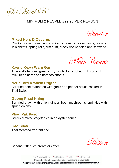Set Meal B

# MINIMUM 2 PEOPLE £29.95 PER PERSON

Starter

## **Mixed Hors D'Oeuvres**

Chicken satay, prawn and chicken on toast, chicken wings, prawns in blankets, spring rolls, dim sum, crispy rice noodles and seaweed.

Main Course

### **Kaeng Keaw Warn Gai**

Thailand's famous 'green curry' of chicken cooked with coconut milk, fresh herbs and bamboo shoots.

## **Neur Tord Kratiem Prigthai**

Stir-fried beef marinated with garlic and pepper sauce cooked in Thai Style.

### **Goong Phad Khing**

Stir-fried prawn with onion, ginger, fresh mushrooms, sprinkled with spring onions.

#### **Phad Pak Pasom**

Stir-fried mixed vegetables in an oyster sauce.

#### **Kao Suay**

Thai steamed fragrant rice.

Dessert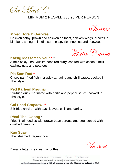Set Meal C

# MINIMUM 2 PEOPLE £38.95 PER PERSON



## **Mixed Hors D'Oeuvres**

Chicken satay, prawn and chicken on toast, chicken wings, prawns in blankets, spring rolls, dim sum, crispy rice noodles and seaweed.



### **Kaeng Massaman Neur \* \***

A mild spicy Thai Muslim beef 'red curry' cooked with coconut milk, cashew nuts and potatoes.

#### **Pla Sam Rod \***

Crispy pan-fried fish in a spicy tamarind and chilli sauce, cooked in Thai style.

### **Ped Kartiem Prigthai**

Stir-fried duck marinated with garlic and pepper sauce, cooked in Thai style.

#### **Gai Phad Grapaow \*\***

Stir-fried chicken with basil leaves, chilli and garlic.

### **Phad Thai Goong** \*

Fried Thai noodles with prawn bean sprouts and egg, served with crushed peanuts.

### **Kao Suay**

Thai steamed fragrant rice.

Dessert